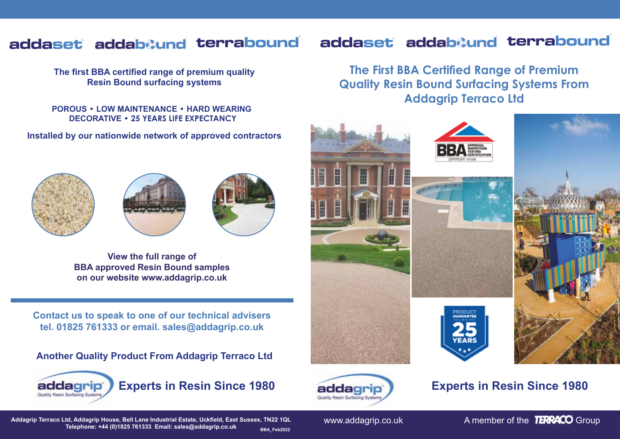# **addaset addab&und terrabound**

**The first BBA certified range of premium quality Resin Bound surfacing systems** 

### **POROUS • LOW MAINTENANCE • HARD WEARING DECORATIVE • 25 YEARS LIFE EXPECTANCY**

**Installed by our nationwide network of approved contractors** 







**View the full range of BBA approved Resin Bound samples on our website www.addagrip.co.uk**

**Contact us to speak to one of our technical advisers tel. 01825 761333 or email. sales@addagrip.co.uk**

**Another Quality Product From Addagrip Terraco Ltd**



# **addaset addab&und terrabound**

**The First BBA Certified Range of Premium Quality Resin Bound Surfacing Systems From Addagrip Terraco Ltd**











Addagrip Terraco Ltd, Addagrip House, Bell Lane Industrial Estate, Uckfield, East Sussex, TN22 1QL www.addagrip.co.uk A member of the TERRACO Group و Telephone: +44 (0)1825 761333 Email: sales@addagrip.co.uk **مستور التعليم BBA\_Feb2022**